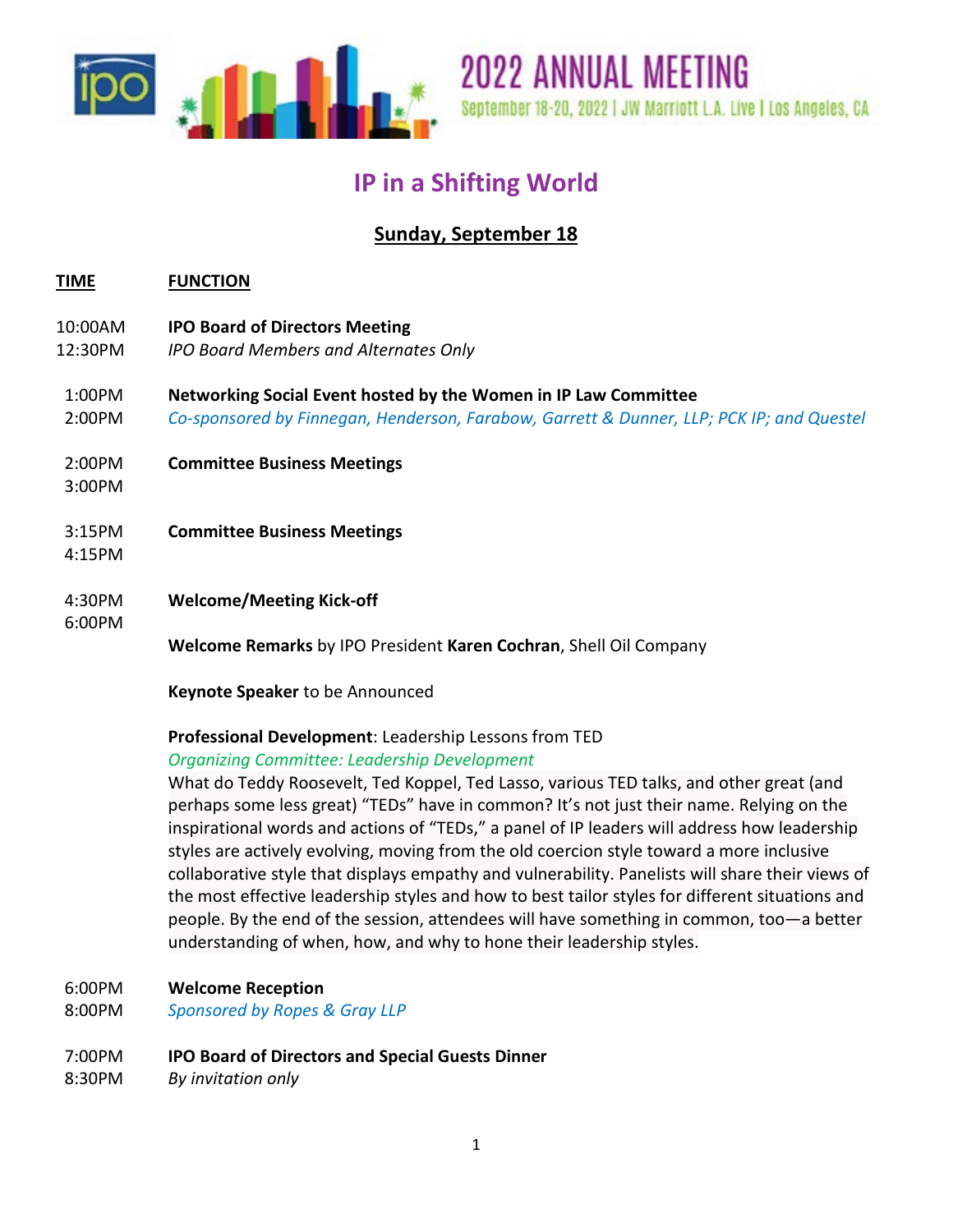

# **IP in a Shifting World**

## **Sunday, September 18**

## **TIME FUNCTION**

- 10:00AM **IPO Board of Directors Meeting**
- 12:30PM *IPO Board Members and Alternates Only*
- 1:00PM **Networking Social Event hosted by the Women in IP Law Committee**
- 2:00PM *Co-sponsored by Finnegan, Henderson, Farabow, Garrett & Dunner, LLP; PCK IP; and Questel*
- 2:00PM **Committee Business Meetings**
- 3:00PM
- 3:15PM **Committee Business Meetings**
- 4:15PM
- 4:30PM **Welcome/Meeting Kick-off**

6:00PM

**Welcome Remarks** by IPO President **Karen Cochran**, Shell Oil Company

**Keynote Speaker** to be Announced

#### **Professional Development**: Leadership Lessons from TED *Organizing Committee: Leadership Development*

What do Teddy Roosevelt, Ted Koppel, Ted Lasso, various TED talks, and other great (and perhaps some less great) "TEDs" have in common? It's not just their name. Relying on the inspirational words and actions of "TEDs," a panel of IP leaders will address how leadership styles are actively evolving, moving from the old coercion style toward a more inclusive collaborative style that displays empathy and vulnerability. Panelists will share their views of the most effective leadership styles and how to best tailor styles for different situations and people. By the end of the session, attendees will have something in common, too—a better understanding of when, how, and why to hone their leadership styles.

- 6:00PM **Welcome Reception**
- 8:00PM *Sponsored by Ropes & Gray LLP*

## 7:00PM **IPO Board of Directors and Special Guests Dinner**

8:30PM *By invitation only*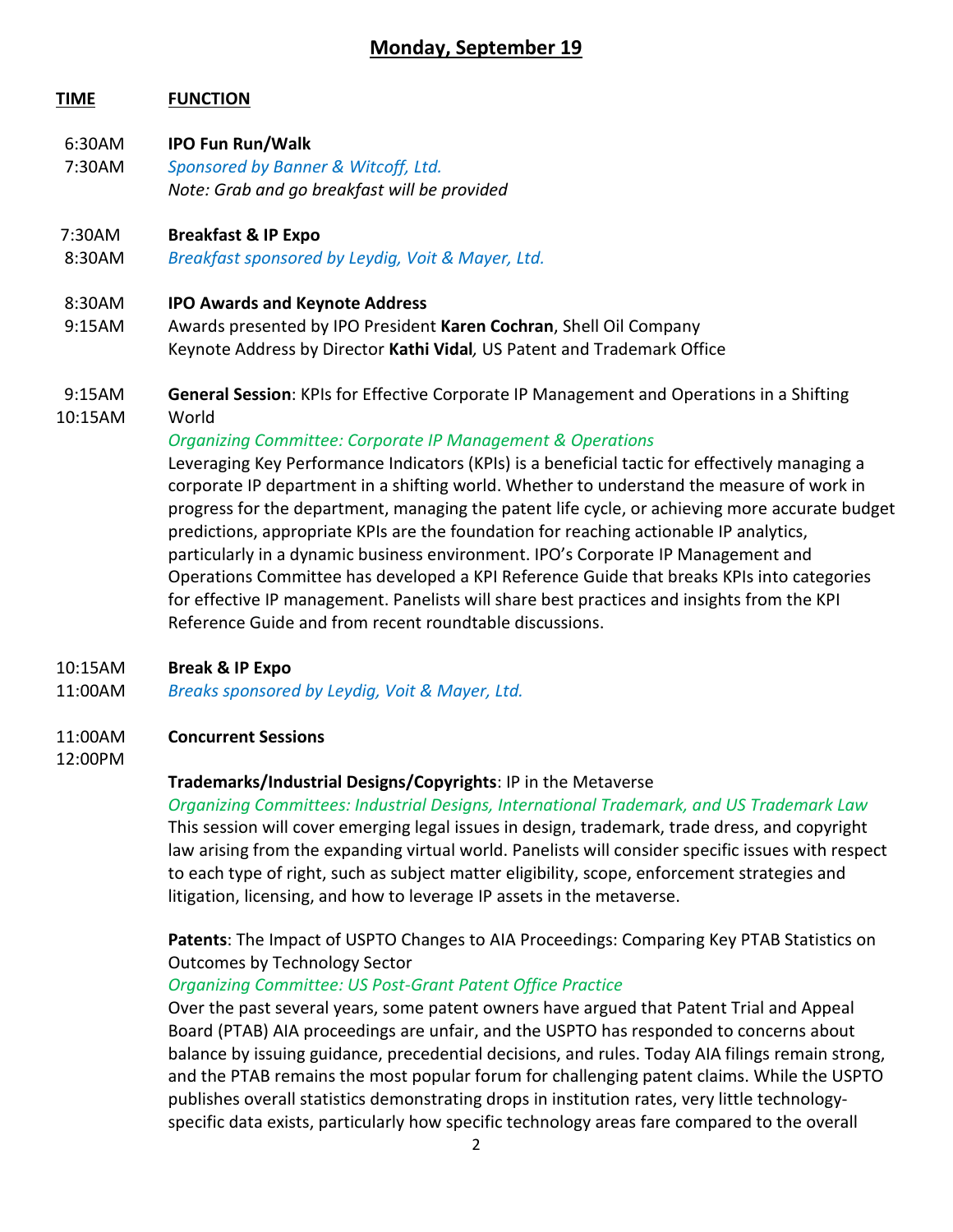## **Monday, September 19**

## **TIME FUNCTION**

- 6:30AM **IPO Fun Run/Walk**
- 7:30AM *Sponsored by Banner & Witcoff, Ltd. Note: Grab and go breakfast will be provided*

#### 7:30AM **Breakfast & IP Expo**

8:30AM *Breakfast sponsored by Leydig, Voit & Mayer, Ltd.*

#### 8:30AM **IPO Awards and Keynote Address**

 9:15AMAwards presented by IPO President **Karen Cochran**, Shell Oil Company Keynote Address by Director **Kathi Vidal***,* US Patent and Trademark Office

## 9:15AM **General Session**: KPIs for Effective Corporate IP Management and Operations in a Shifting

10:15AM World

#### *Organizing Committee: Corporate IP Management & Operations*

Leveraging Key Performance Indicators (KPIs) is a beneficial tactic for effectively managing a corporate IP department in a shifting world. Whether to understand the measure of work in progress for the department, managing the patent life cycle, or achieving more accurate budget predictions, appropriate KPIs are the foundation for reaching actionable IP analytics, particularly in a dynamic business environment. IPO's Corporate IP Management and Operations Committee has developed a KPI Reference Guide that breaks KPIs into categories for effective IP management. Panelists will share best practices and insights from the KPI Reference Guide and from recent roundtable discussions.

#### 10:15AM **Break & IP Expo**

11:00AM *Breaks sponsored by Leydig, Voit & Mayer, Ltd.*

#### 11:00AM **Concurrent Sessions**

#### 12:00PM

## **Trademarks/Industrial Designs/Copyrights**: IP in the Metaverse

*Organizing Committees: Industrial Designs, International Trademark, and US Trademark Law* This session will cover emerging legal issues in design, trademark, trade dress, and copyright law arising from the expanding virtual world. Panelists will consider specific issues with respect to each type of right, such as subject matter eligibility, scope, enforcement strategies and litigation, licensing, and how to leverage IP assets in the metaverse.

**Patents**: The Impact of USPTO Changes to AIA Proceedings: Comparing Key PTAB Statistics on Outcomes by Technology Sector

## *Organizing Committee: US Post-Grant Patent Office Practice*

Over the past several years, some patent owners have argued that Patent Trial and Appeal Board (PTAB) AIA proceedings are unfair, and the USPTO has responded to concerns about balance by issuing guidance, precedential decisions, and rules. Today AIA filings remain strong, and the PTAB remains the most popular forum for challenging patent claims. While the USPTO publishes overall statistics demonstrating drops in institution rates, very little technologyspecific data exists, particularly how specific technology areas fare compared to the overall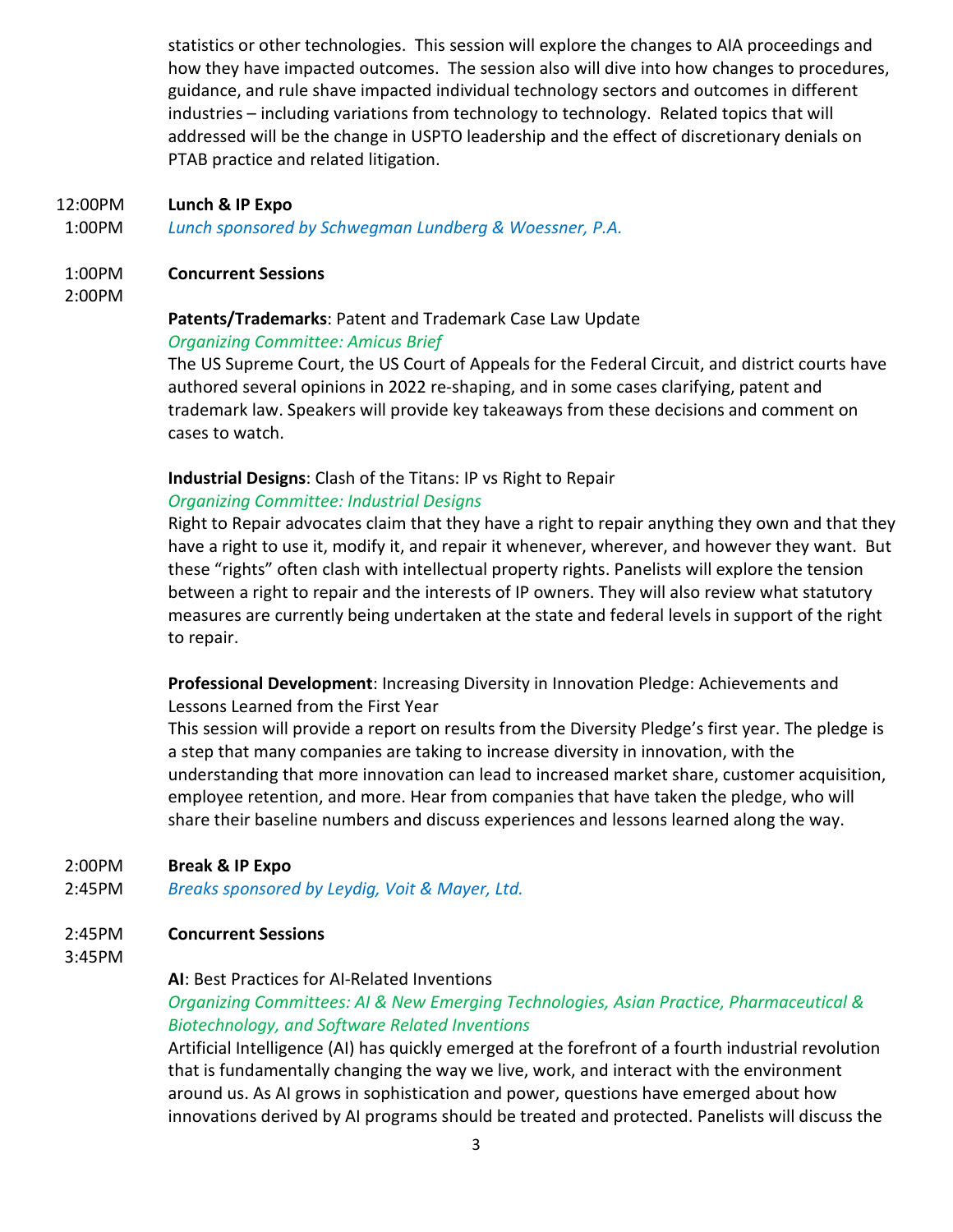statistics or other technologies. This session will explore the changes to AIA proceedings and how they have impacted outcomes. The session also will dive into how changes to procedures, guidance, and rule shave impacted individual technology sectors and outcomes in different industries – including variations from technology to technology. Related topics that will addressed will be the change in USPTO leadership and the effect of discretionary denials on PTAB practice and related litigation.

- 12:00PM **Lunch & IP Expo**
- 1:00PM *Lunch sponsored by Schwegman Lundberg & Woessner, P.A.*

#### 1:00PM **Concurrent Sessions**

2:00PM

## **Patents/Trademarks**: Patent and Trademark Case Law Update

#### *Organizing Committee: Amicus Brief*

The US Supreme Court, the US Court of Appeals for the Federal Circuit, and district courts have authored several opinions in 2022 re-shaping, and in some cases clarifying, patent and trademark law. Speakers will provide key takeaways from these decisions and comment on cases to watch.

## **Industrial Designs**: Clash of the Titans: IP vs Right to Repair

## *Organizing Committee: Industrial Designs*

Right to Repair advocates claim that they have a right to repair anything they own and that they have a right to use it, modify it, and repair it whenever, wherever, and however they want. But these "rights" often clash with intellectual property rights. Panelists will explore the tension between a right to repair and the interests of IP owners. They will also review what statutory measures are currently being undertaken at the state and federal levels in support of the right to repair.

**Professional Development**: Increasing Diversity in Innovation Pledge: Achievements and Lessons Learned from the First Year

This session will provide a report on results from the Diversity Pledge's first year. The pledge is a step that many companies are taking to increase diversity in innovation, with the understanding that more innovation can lead to increased market share, customer acquisition, employee retention, and more. Hear from companies that have taken the pledge, who will share their baseline numbers and discuss experiences and lessons learned along the way.

## 2:00PM **Break & IP Expo**

- 2:45PM *Breaks sponsored by Leydig, Voit & Mayer, Ltd.*
- 2:45PM **Concurrent Sessions**
- 3:45PM

## **AI**: Best Practices for AI-Related Inventions

## *Organizing Committees: AI & New Emerging Technologies, Asian Practice, Pharmaceutical & Biotechnology, and Software Related Inventions*

Artificial Intelligence (AI) has quickly emerged at the forefront of a fourth industrial revolution that is fundamentally changing the way we live, work, and interact with the environment around us. As AI grows in sophistication and power, questions have emerged about how innovations derived by AI programs should be treated and protected. Panelists will discuss the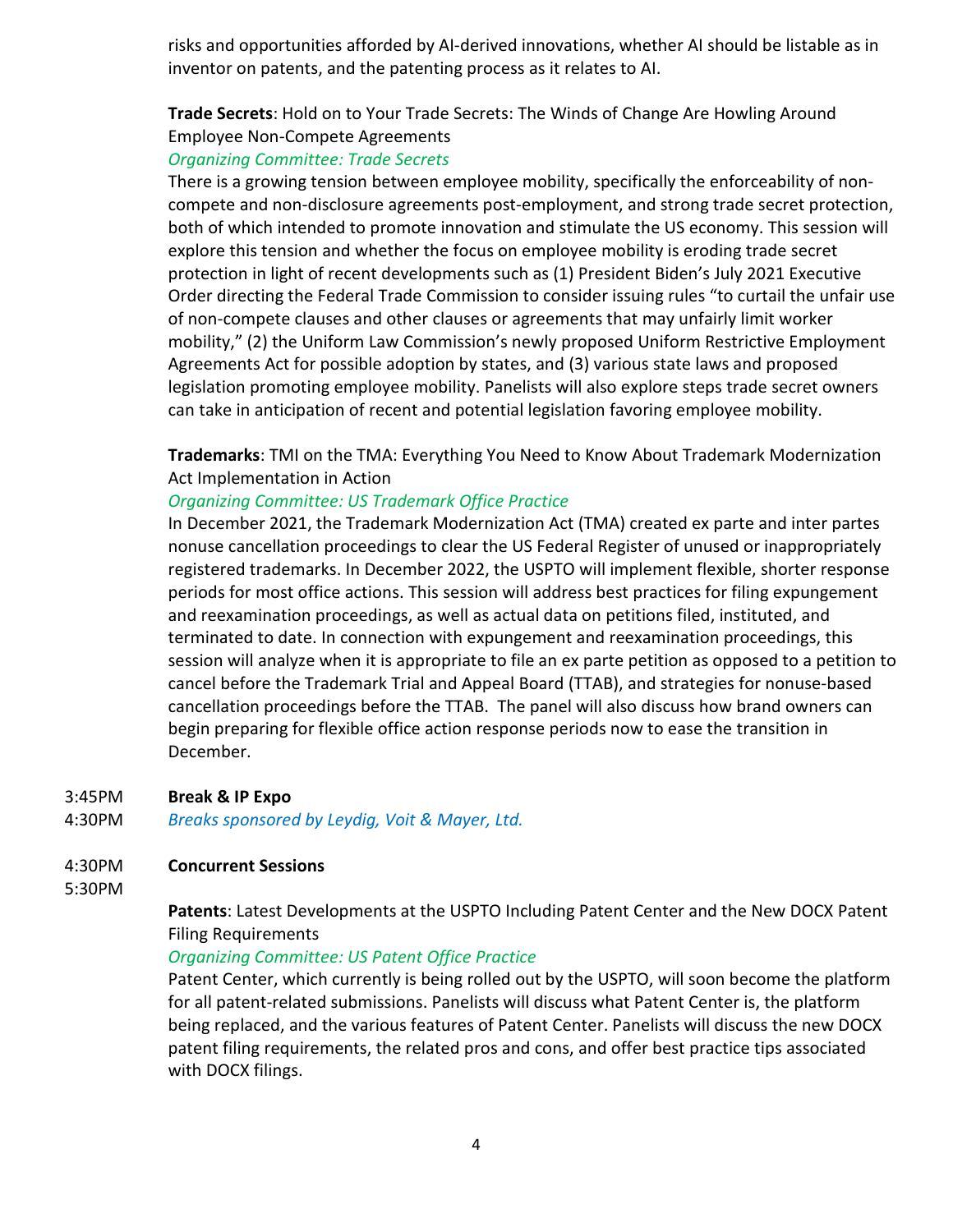risks and opportunities afforded by AI-derived innovations, whether AI should be listable as in inventor on patents, and the patenting process as it relates to AI.

## **Trade Secrets**: Hold on to Your Trade Secrets: The Winds of Change Are Howling Around Employee Non-Compete Agreements

#### *Organizing Committee: Trade Secrets*

There is a growing tension between employee mobility, specifically the enforceability of noncompete and non-disclosure agreements post-employment, and strong trade secret protection, both of which intended to promote innovation and stimulate the US economy. This session will explore this tension and whether the focus on employee mobility is eroding trade secret protection in light of recent developments such as (1) President Biden's July 2021 Executive Order directing the Federal Trade Commission to consider issuing rules "to curtail the unfair use of non-compete clauses and other clauses or agreements that may unfairly limit worker mobility," (2) the Uniform Law Commission's newly proposed Uniform Restrictive Employment Agreements Act for possible adoption by states, and (3) various state laws and proposed legislation promoting employee mobility. Panelists will also explore steps trade secret owners can take in anticipation of recent and potential legislation favoring employee mobility.

**Trademarks**: TMI on the TMA: Everything You Need to Know About Trademark Modernization Act Implementation in Action

## *Organizing Committee: US Trademark Office Practice*

In December 2021, the Trademark Modernization Act (TMA) created ex parte and inter partes nonuse cancellation proceedings to clear the US Federal Register of unused or inappropriately registered trademarks. In December 2022, the USPTO will implement flexible, shorter response periods for most office actions. This session will address best practices for filing expungement and reexamination proceedings, as well as actual data on petitions filed, instituted, and terminated to date. In connection with expungement and reexamination proceedings, this session will analyze when it is appropriate to file an ex parte petition as opposed to a petition to cancel before the Trademark Trial and Appeal Board (TTAB), and strategies for nonuse-based cancellation proceedings before the TTAB. The panel will also discuss how brand owners can begin preparing for flexible office action response periods now to ease the transition in December.

#### 3:45PM **Break & IP Expo**

4:30PM *Breaks sponsored by Leydig, Voit & Mayer, Ltd.*

#### 4:30PM **Concurrent Sessions**

5:30PM

**Patents**: Latest Developments at the USPTO Including Patent Center and the New DOCX Patent Filing Requirements

## *Organizing Committee: US Patent Office Practice*

Patent Center, which currently is being rolled out by the USPTO, will soon become the platform for all patent-related submissions. Panelists will discuss what Patent Center is, the platform being replaced, and the various features of Patent Center. Panelists will discuss the new DOCX patent filing requirements, the related pros and cons, and offer best practice tips associated with DOCX filings.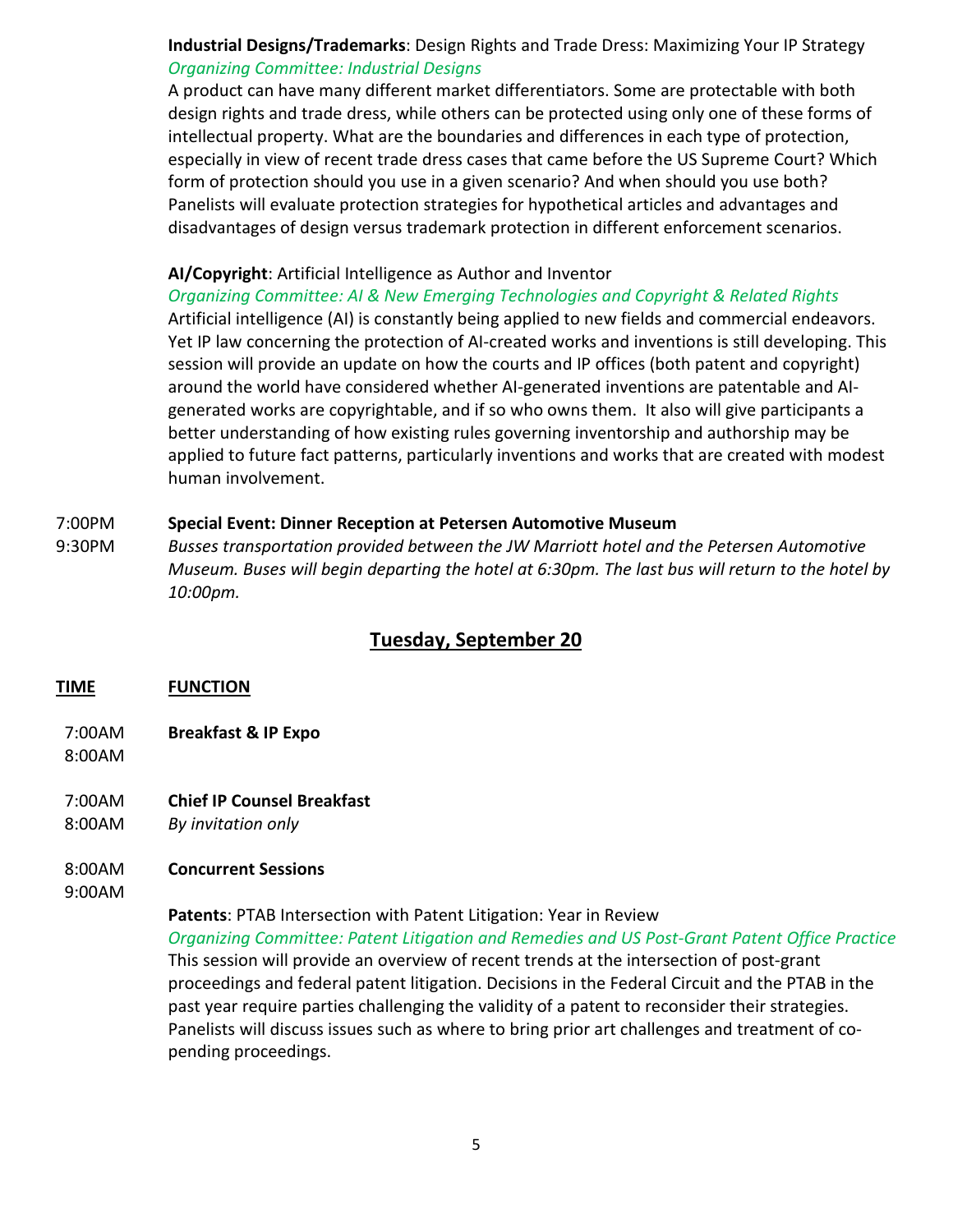## **Industrial Designs/Trademarks**: Design Rights and Trade Dress: Maximizing Your IP Strategy *Organizing Committee: Industrial Designs*

A product can have many different market differentiators. Some are protectable with both design rights and trade dress, while others can be protected using only one of these forms of intellectual property. What are the boundaries and differences in each type of protection, especially in view of recent trade dress cases that came before the US Supreme Court? Which form of protection should you use in a given scenario? And when should you use both? Panelists will evaluate protection strategies for hypothetical articles and advantages and disadvantages of design versus trademark protection in different enforcement scenarios.

## **AI/Copyright**: Artificial Intelligence as Author and Inventor

*Organizing Committee: AI & New Emerging Technologies and Copyright & Related Rights* Artificial intelligence (AI) is constantly being applied to new fields and commercial endeavors. Yet IP law concerning the protection of AI-created works and inventions is still developing. This session will provide an update on how the courts and IP offices (both patent and copyright) around the world have considered whether AI-generated inventions are patentable and AIgenerated works are copyrightable, and if so who owns them. It also will give participants a better understanding of how existing rules governing inventorship and authorship may be applied to future fact patterns, particularly inventions and works that are created with modest human involvement.

## 7:00PM **Special Event: Dinner Reception at Petersen Automotive Museum**

9:30PM *Busses transportation provided between the JW Marriott hotel and the Petersen Automotive Museum. Buses will begin departing the hotel at 6:30pm. The last bus will return to the hotel by 10:00pm.*

## **Tuesday, September 20**

## **TIME FUNCTION**

- 7:00AM **Breakfast & IP Expo**
- 8:00AM
- 7:00AM **Chief IP Counsel Breakfast**
- 8:00AM *By invitation only*

## 8:00AM **Concurrent Sessions**

## 9:00AM

**Patents**: PTAB Intersection with Patent Litigation: Year in Review

*Organizing Committee: Patent Litigation and Remedies and US Post-Grant Patent Office Practice* This session will provide an overview of recent trends at the intersection of post-grant proceedings and federal patent litigation. Decisions in the Federal Circuit and the PTAB in the past year require parties challenging the validity of a patent to reconsider their strategies. Panelists will discuss issues such as where to bring prior art challenges and treatment of copending proceedings.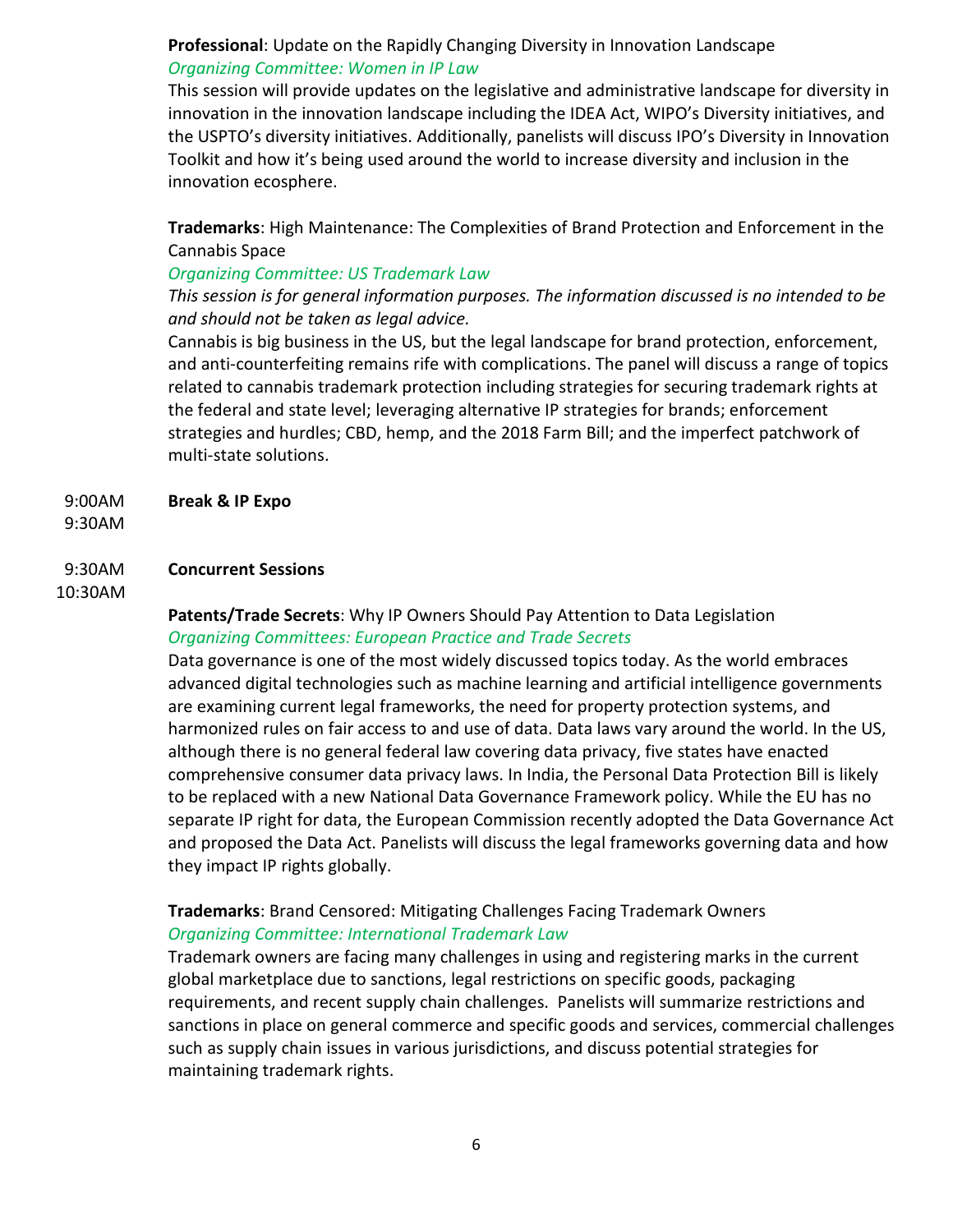**Professional**: Update on the Rapidly Changing Diversity in Innovation Landscape *Organizing Committee: Women in IP Law*

This session will provide updates on the legislative and administrative landscape for diversity in innovation in the innovation landscape including the IDEA Act, WIPO's Diversity initiatives, and the USPTO's diversity initiatives. Additionally, panelists will discuss IPO's Diversity in Innovation Toolkit and how it's being used around the world to increase diversity and inclusion in the innovation ecosphere.

**Trademarks**: High Maintenance: The Complexities of Brand Protection and Enforcement in the Cannabis Space

## *Organizing Committee: US Trademark Law*

*This session is for general information purposes. The information discussed is no intended to be and should not be taken as legal advice.*

Cannabis is big business in the US, but the legal landscape for brand protection, enforcement, and anti-counterfeiting remains rife with complications. The panel will discuss a range of topics related to cannabis trademark protection including strategies for securing trademark rights at the federal and state level; leveraging alternative IP strategies for brands; enforcement strategies and hurdles; CBD, hemp, and the 2018 Farm Bill; and the imperfect patchwork of multi-state solutions.

9:00AM **Break & IP Expo**

9:30AM

## 9:30AM **Concurrent Sessions**

10:30AM

## **Patents/Trade Secrets**: Why IP Owners Should Pay Attention to Data Legislation *Organizing Committees: European Practice and Trade Secrets*

Data governance is one of the most widely discussed topics today. As the world embraces advanced digital technologies such as machine learning and artificial intelligence governments are examining current legal frameworks, the need for property protection systems, and harmonized rules on fair access to and use of data. Data laws vary around the world. In the US, although there is no general federal law covering data privacy, five states have enacted comprehensive consumer data privacy laws. In India, the Personal Data Protection Bill is likely to be replaced with a new National Data Governance Framework policy. While the EU has no separate IP right for data, the European Commission recently adopted the Data Governance Act and proposed the Data Act. Panelists will discuss the legal frameworks governing data and how they impact IP rights globally.

## **Trademarks**: Brand Censored: Mitigating Challenges Facing Trademark Owners *Organizing Committee: International Trademark Law*

Trademark owners are facing many challenges in using and registering marks in the current global marketplace due to sanctions, legal restrictions on specific goods, packaging requirements, and recent supply chain challenges. Panelists will summarize restrictions and sanctions in place on general commerce and specific goods and services, commercial challenges such as supply chain issues in various jurisdictions, and discuss potential strategies for maintaining trademark rights.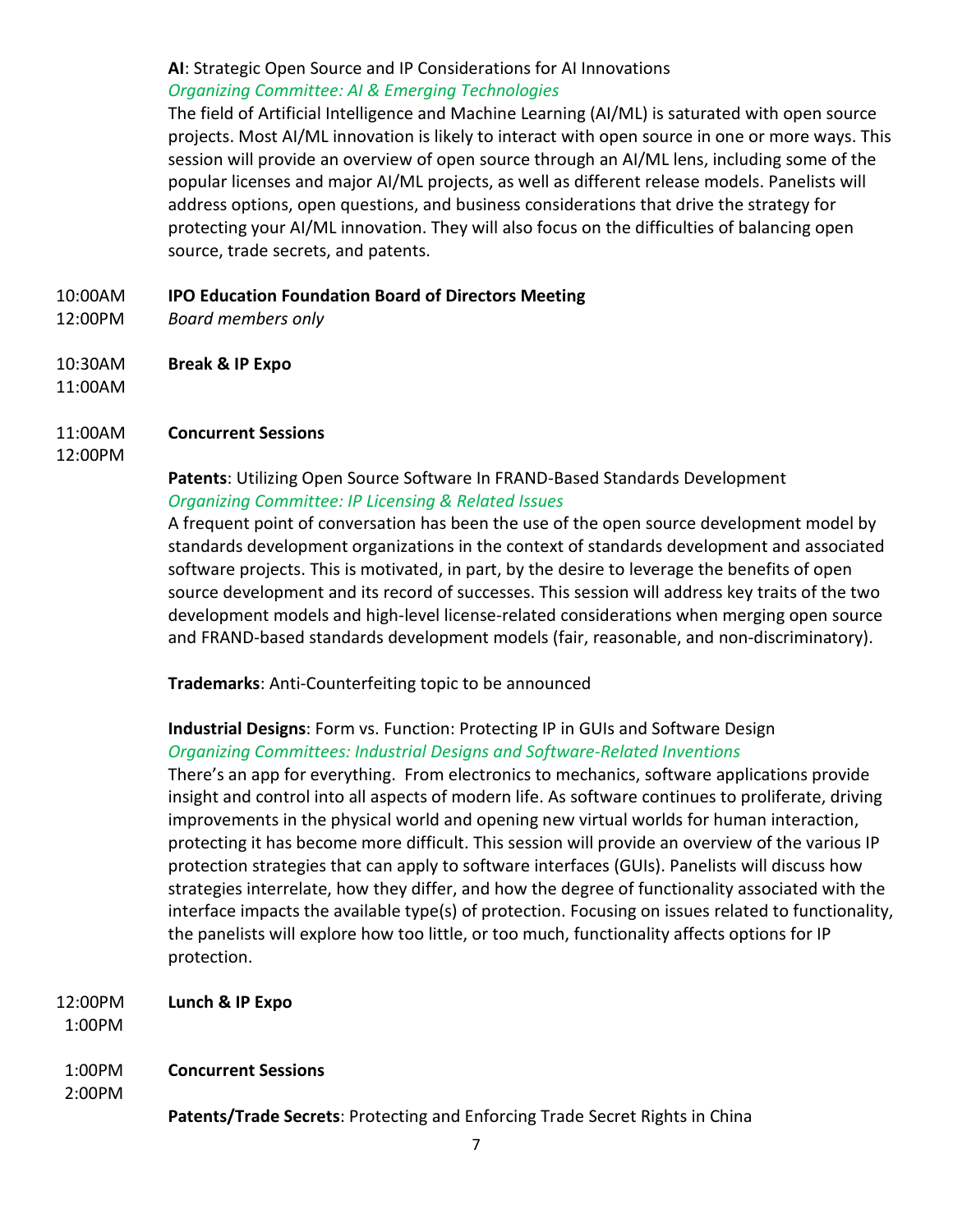## **AI**: Strategic Open Source and IP Considerations for AI Innovations *Organizing Committee: AI & Emerging Technologies*

The field of Artificial Intelligence and Machine Learning (AI/ML) is saturated with open source projects. Most AI/ML innovation is likely to interact with open source in one or more ways. This session will provide an overview of open source through an AI/ML lens, including some of the popular licenses and major AI/ML projects, as well as different release models. Panelists will address options, open questions, and business considerations that drive the strategy for protecting your AI/ML innovation. They will also focus on the difficulties of balancing open source, trade secrets, and patents.

- 10:00AM **IPO Education Foundation Board of Directors Meeting**
- 12:00PM *Board members only*
- 10:30AM **Break & IP Expo**
- 11:00AM

## 11:00AM **Concurrent Sessions**

## 12:00PM

## **Patents**: Utilizing Open Source Software In FRAND-Based Standards Development *Organizing Committee: IP Licensing & Related Issues*

A frequent point of conversation has been the use of the open source development model by standards development organizations in the context of standards development and associated software projects. This is motivated, in part, by the desire to leverage the benefits of open source development and its record of successes. This session will address key traits of the two development models and high-level license-related considerations when merging open source and FRAND-based standards development models (fair, reasonable, and non-discriminatory).

**Trademarks**: Anti-Counterfeiting topic to be announced

## **Industrial Designs**: Form vs. Function: Protecting IP in GUIs and Software Design *Organizing Committees: Industrial Designs and Software-Related Inventions*

There's an app for everything. From electronics to mechanics, software applications provide insight and control into all aspects of modern life. As software continues to proliferate, driving improvements in the physical world and opening new virtual worlds for human interaction, protecting it has become more difficult. This session will provide an overview of the various IP protection strategies that can apply to software interfaces (GUIs). Panelists will discuss how strategies interrelate, how they differ, and how the degree of functionality associated with the interface impacts the available type(s) of protection. Focusing on issues related to functionality, the panelists will explore how too little, or too much, functionality affects options for IP protection.

12:00PM **Lunch & IP Expo**

1:00PM

## 1:00PM **Concurrent Sessions**

2:00PM

**Patents/Trade Secrets**: Protecting and Enforcing Trade Secret Rights in China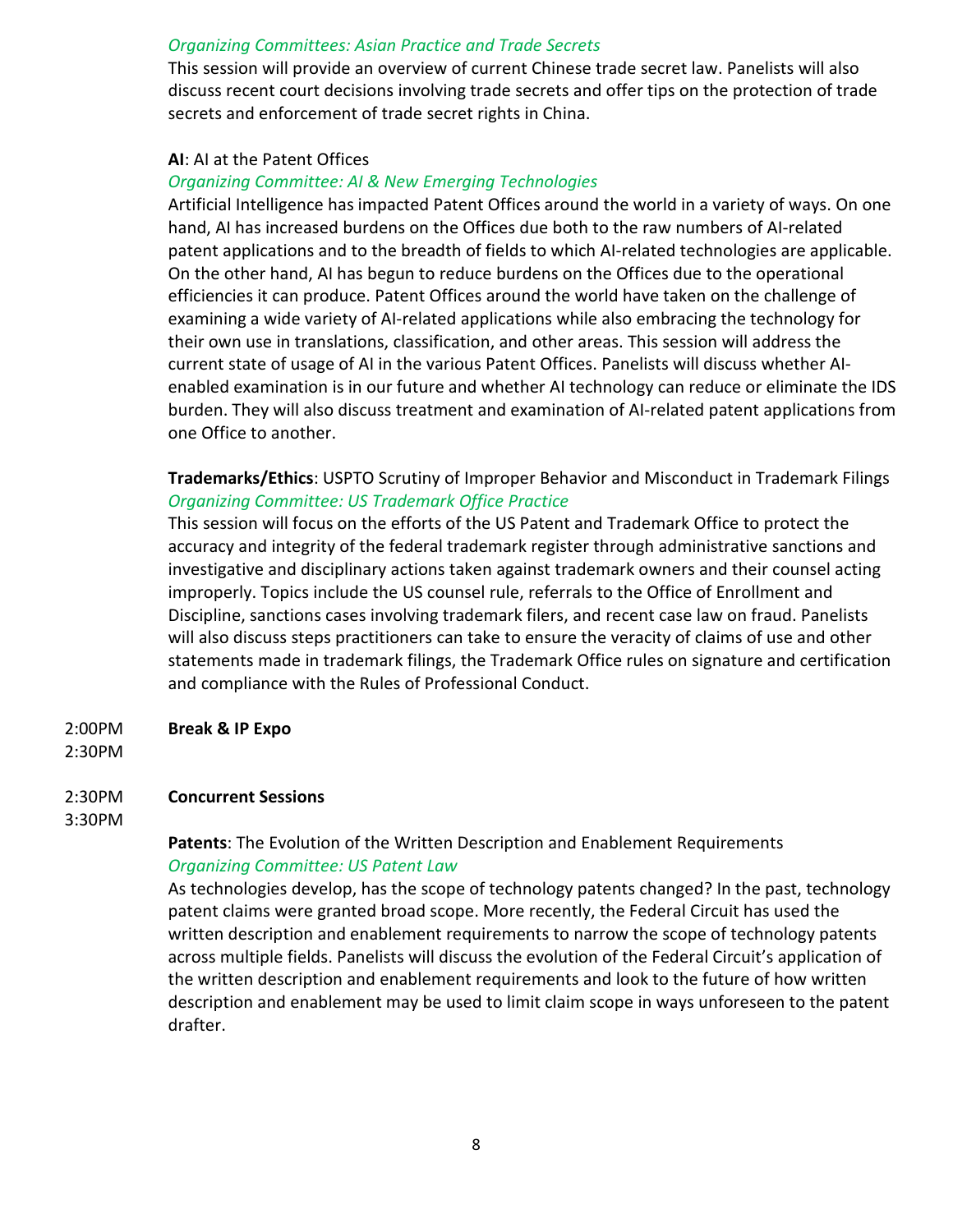#### *Organizing Committees: Asian Practice and Trade Secrets*

This session will provide an overview of current Chinese trade secret law. Panelists will also discuss recent court decisions involving trade secrets and offer tips on the protection of trade secrets and enforcement of trade secret rights in China.

#### **AI**: AI at the Patent Offices

#### *Organizing Committee: AI & New Emerging Technologies*

Artificial Intelligence has impacted Patent Offices around the world in a variety of ways. On one hand, AI has increased burdens on the Offices due both to the raw numbers of AI-related patent applications and to the breadth of fields to which AI-related technologies are applicable. On the other hand, AI has begun to reduce burdens on the Offices due to the operational efficiencies it can produce. Patent Offices around the world have taken on the challenge of examining a wide variety of AI-related applications while also embracing the technology for their own use in translations, classification, and other areas. This session will address the current state of usage of AI in the various Patent Offices. Panelists will discuss whether AIenabled examination is in our future and whether AI technology can reduce or eliminate the IDS burden. They will also discuss treatment and examination of AI-related patent applications from one Office to another.

## **Trademarks/Ethics**: USPTO Scrutiny of Improper Behavior and Misconduct in Trademark Filings *Organizing Committee: US Trademark Office Practice*

This session will focus on the efforts of the US Patent and Trademark Office to protect the accuracy and integrity of the federal trademark register through administrative sanctions and investigative and disciplinary actions taken against trademark owners and their counsel acting improperly. Topics include the US counsel rule, referrals to the Office of Enrollment and Discipline, sanctions cases involving trademark filers, and recent case law on fraud. Panelists will also discuss steps practitioners can take to ensure the veracity of claims of use and other statements made in trademark filings, the Trademark Office rules on signature and certification and compliance with the Rules of Professional Conduct.

#### 2:00PM **Break & IP Expo**

#### 2:30PM

## 2:30PM **Concurrent Sessions**

## 3:30PM

## **Patents**: The Evolution of the Written Description and Enablement Requirements *Organizing Committee: US Patent Law*

As technologies develop, has the scope of technology patents changed? In the past, technology patent claims were granted broad scope. More recently, the Federal Circuit has used the written description and enablement requirements to narrow the scope of technology patents across multiple fields. Panelists will discuss the evolution of the Federal Circuit's application of the written description and enablement requirements and look to the future of how written description and enablement may be used to limit claim scope in ways unforeseen to the patent drafter.